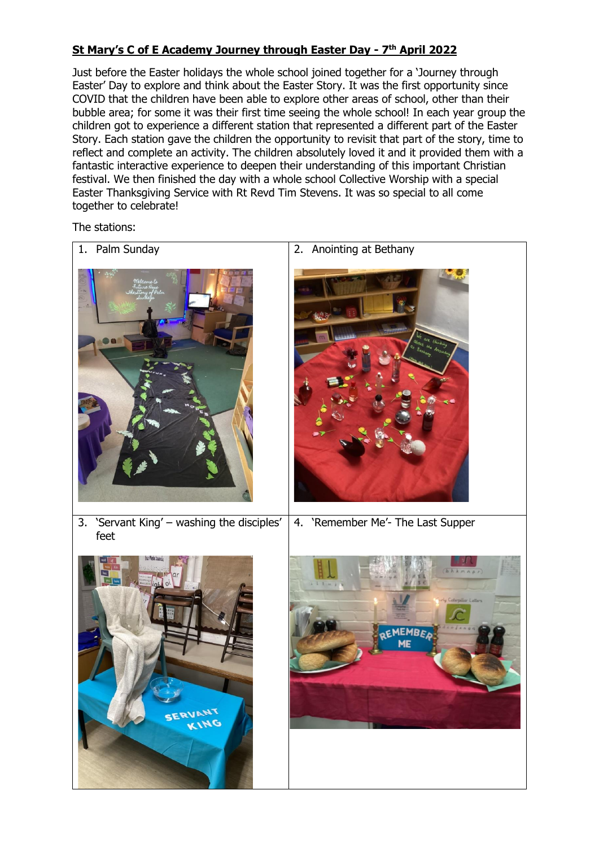## **St Mary's C of E Academy Journey through Easter Day - 7 th April 2022**

Just before the Easter holidays the whole school joined together for a 'Journey through Easter' Day to explore and think about the Easter Story. It was the first opportunity since COVID that the children have been able to explore other areas of school, other than their bubble area; for some it was their first time seeing the whole school! In each year group the children got to experience a different station that represented a different part of the Easter Story. Each station gave the children the opportunity to revisit that part of the story, time to reflect and complete an activity. The children absolutely loved it and it provided them with a fantastic interactive experience to deepen their understanding of this important Christian festival. We then finished the day with a whole school Collective Worship with a special Easter Thanksgiving Service with Rt Revd Tim Stevens. It was so special to all come together to celebrate!

The stations: